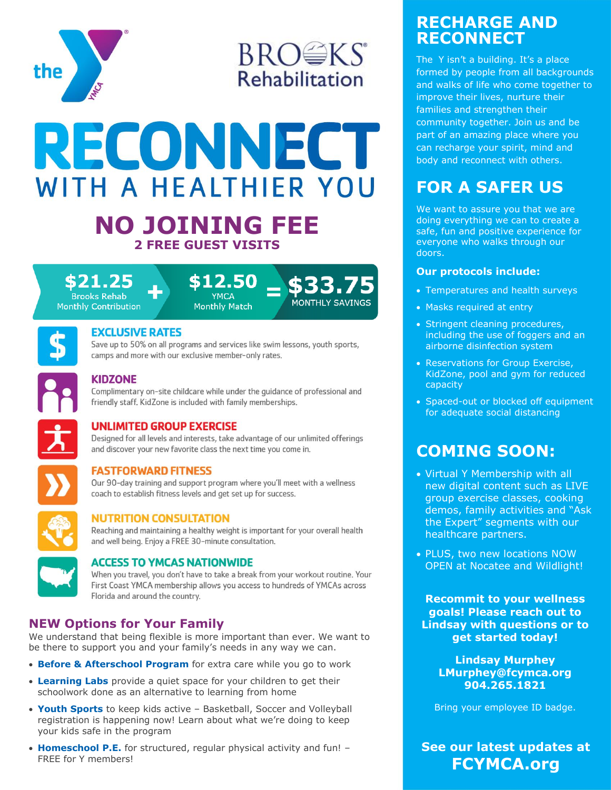

# **BROWKS Rehabilitation**

# **RECONNECT** WITH A HEALTHIER YOU

## **NO JOINING FEE 2 FREE GUEST VISITS**









#### **EXCLUSIVE RATES**

Save up to 50% on all programs and services like swim lessons, youth sports, camps and more with our exclusive member-only rates.



#### **KIDZONE**

Complimentary on-site childcare while under the quidance of professional and friendly staff. KidZone is included with family memberships.

#### **UNLIMITED GROUP EXERCISE**

Designed for all levels and interests, take advantage of our unlimited offerings and discover your new favorite class the next time you come in.



#### **FASTFORWARD FITNESS**

Our 90-day training and support program where you'll meet with a wellness coach to establish fitness levels and get set up for success.



#### **NUTRITION CONSULTATION**

Reaching and maintaining a healthy weight is important for your overall health and well being. Enjoy a FREE 30-minute consultation.



#### **ACCESS TO YMCAS NATIONWIDE**

When you travel, you don't have to take a break from your workout routine. Your First Coast YMCA membership allows you access to hundreds of YMCAs across Florida and around the country.

#### **NEW Options for Your Family**

We understand that being flexible is more important than ever. We want to be there to support you and your family's needs in any way we can.

- **Before & Afterschool Program** for extra care while you go to work
- **Learning Labs** provide a quiet space for your children to get their schoolwork done as an alternative to learning from home
- **Youth Sports** to keep kids active Basketball, Soccer and Volleyball registration is happening now! Learn about what we're doing to keep your kids safe in the program
- **Homeschool P.E.** for structured, regular physical activity and fun! FREE for Y members!

### **RECHARGE AND RECONNECT**

The Y isn't a building. It's a place formed by people from all backgrounds and walks of life who come together to improve their lives, nurture their families and strengthen their community together. Join us and be part of an amazing place where you can recharge your spirit, mind and body and reconnect with others.

## **FOR A SAFER US**

We want to assure you that we are doing everything we can to create a safe, fun and positive experience for everyone who walks through our doors.

#### **Our protocols include:**

- Temperatures and health surveys
- Masks required at entry
- Stringent cleaning procedures, including the use of foggers and an airborne disinfection system
- Reservations for Group Exercise, KidZone, pool and gym for reduced capacity
- Spaced-out or blocked off equipment for adequate social distancing

## **COMING SOON:**

- Virtual Y Membership with all new digital content such as LIVE group exercise classes, cooking demos, family activities and "Ask the Expert" segments with our healthcare partners.
- PLUS, two new locations NOW OPEN at Nocatee and Wildlight!

**Recommit to your wellness goals! Please reach out to Lindsay with questions or to get started today!** 

**Lindsay Murphey LMurphey@fcymca.org 904.265.1821**

Bring your employee ID badge.

**See our latest updates at FCYMCA.org**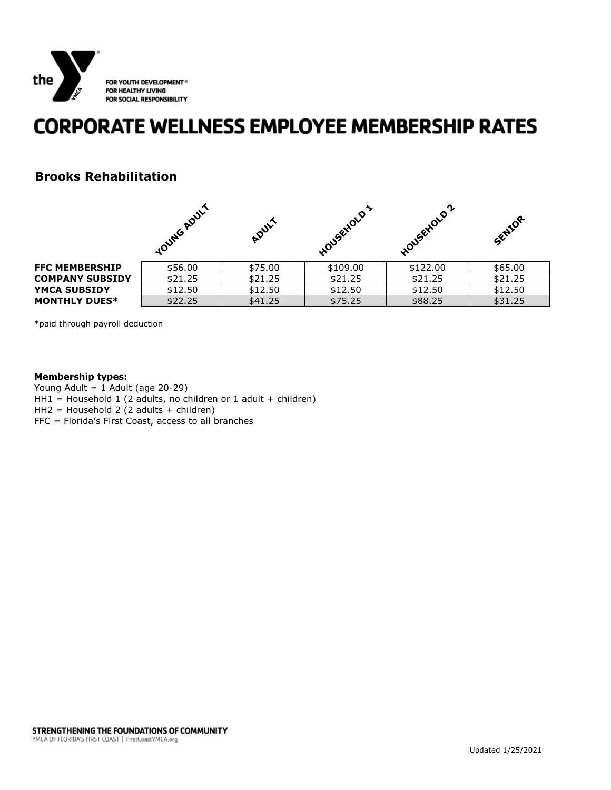

## **CORPORATE WELLNESS EMPLOYEE MEMBERSHIP RATES**

#### **Brooks Rehabilitation**

|                        | vouwe Apuly | ADULT   | wousekolo | പ<br>Housekloup | SENIOR  |
|------------------------|-------------|---------|-----------|-----------------|---------|
| <b>FFC MEMBERSHIP</b>  | \$56.00     | \$75.00 | \$109.00  | \$122.00        | \$65.00 |
| <b>COMPANY SUBSIDY</b> | \$21.25     | \$21.25 | \$21.25   | \$21.25         | \$21.25 |
| <b>YMCA SUBSIDY</b>    | \$12.50     | \$12.50 | \$12.50   | \$12.50         | \$12.50 |
| <b>MONTHLY DUES*</b>   | \$22.25     | \$41.25 | \$75.25   | \$88.25         | \$31.25 |

\*paid through payroll deduction

#### **Membership types:**

Young Adult = 1 Adult (age 20-29)  $HH1 = Household 1 (2 adults, no children or 1 adult + children)$ HH2 = Household 2 (2 adults + children) FFC = Florida's First Coast, access to all branches

STRENGTHENING THE FOUNDATIONS OF COMMUNITY YMCA OF FLORIDA'S FIRST COAST | FirstCoastYMCA.org